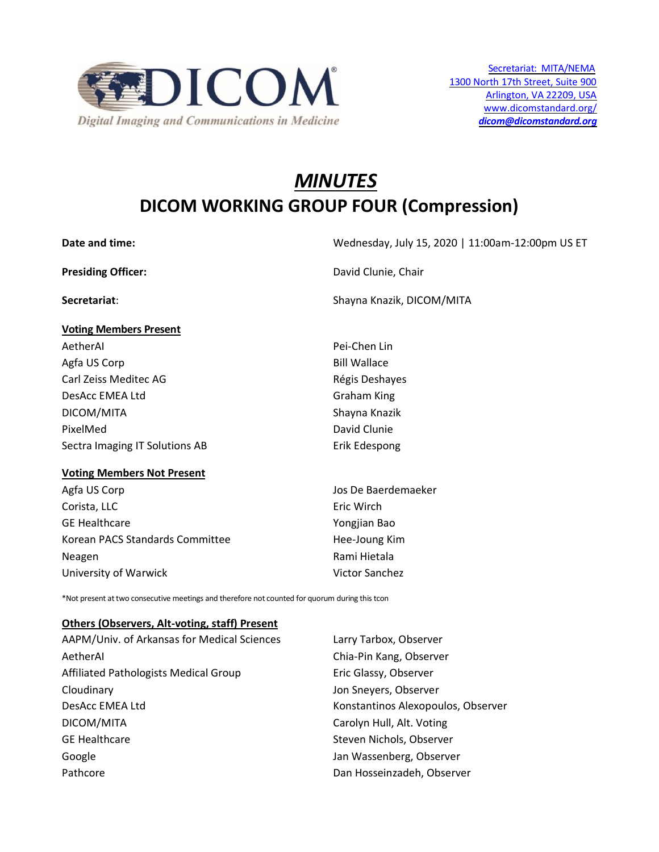

# *MINUTES* **DICOM WORKING GROUP FOUR (Compression)**

**Voting Members Present**

**Date and time:** Wednesday, July 15, 2020 | 11:00am-12:00pm US ET

**Presiding Officer:** David Clunie, Chair

**Secretariat**: Shayna Knazik, DICOM/MITA

| AetherAl                       | Pei-Chen Lin        |
|--------------------------------|---------------------|
| Agfa US Corp                   | <b>Bill Wallace</b> |
| Carl Zeiss Meditec AG          | Régis Deshayes      |
| DesAcc EMEA Ltd                | <b>Graham King</b>  |
| DICOM/MITA                     | Shayna Knazik       |
| PixelMed                       | David Clunie        |
| Sectra Imaging IT Solutions AB | Erik Edespong       |
|                                |                     |

#### **Voting Members Not Present**

Agfa US Corp **Games Corp Contract Contract Contract Corp** Jos De Baerdemaeker Corista, LLC **Example 2018** Eric Wirch GE Healthcare **Yongjian** Bao Korean PACS Standards Committee Hee-Joung Kim Neagen **Rami Hietala** University of Warwick Victor Sanchez

\*Not present at two consecutive meetings and therefore not counted for quorum during this tcon

#### **Others (Observers, Alt-voting, staff) Present**

| AAPM/Univ. of Arkansas for Medical Sciences | Larry Tarbox, Observer             |
|---------------------------------------------|------------------------------------|
| AetherAl                                    | Chia-Pin Kang, Observer            |
| Affiliated Pathologists Medical Group       | Eric Glassy, Observer              |
| Cloudinary                                  | Jon Sneyers, Observer              |
| DesAcc EMEA Ltd                             | Konstantinos Alexopoulos, Observer |
| DICOM/MITA                                  | Carolyn Hull, Alt. Voting          |
| <b>GE Healthcare</b>                        | Steven Nichols, Observer           |
| Google                                      | Jan Wassenberg, Observer           |
| Pathcore                                    | Dan Hosseinzadeh, Observer         |
|                                             |                                    |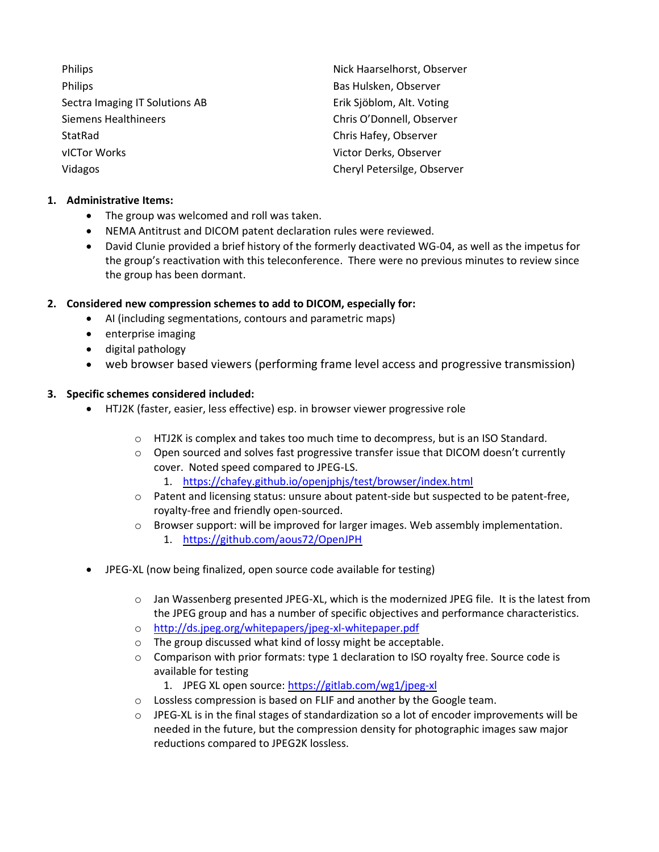| Philips                        | Nick Haarselhorst, Observer |
|--------------------------------|-----------------------------|
| Philips                        | Bas Hulsken, Observer       |
| Sectra Imaging IT Solutions AB | Erik Sjöblom, Alt. Voting   |
| Siemens Healthineers           | Chris O'Donnell, Observer   |
| StatRad                        | Chris Hafey, Observer       |
| vICTor Works                   | Victor Derks, Observer      |
| Vidagos                        | Cheryl Petersilge, Observer |

## **1. Administrative Items:**

- The group was welcomed and roll was taken.
- NEMA Antitrust and DICOM patent declaration rules were reviewed.
- David Clunie provided a brief history of the formerly deactivated WG-04, as well as the impetus for the group's reactivation with this teleconference. There were no previous minutes to review since the group has been dormant.

# **2. Considered new compression schemes to add to DICOM, especially for:**

- AI (including segmentations, contours and parametric maps)
- enterprise imaging
- digital pathology
- web browser based viewers (performing frame level access and progressive transmission)

# **3. Specific schemes considered included:**

- HTJ2K (faster, easier, less effective) esp. in browser viewer progressive role
	- o HTJ2K is complex and takes too much time to decompress, but is an ISO Standard.
	- $\circ$  Open sourced and solves fast progressive transfer issue that DICOM doesn't currently cover. Noted speed compared to JPEG-LS.
		- 1. <https://chafey.github.io/openjphjs/test/browser/index.html>
	- o Patent and licensing status: unsure about patent-side but suspected to be patent-free, royalty-free and friendly open-sourced.
	- o Browser support: will be improved for larger images. Web assembly implementation.
		- 1. <https://github.com/aous72/OpenJPH>
- JPEG-XL (now being finalized, open source code available for testing)
	- $\circ$  Jan Wassenberg presented JPEG-XL, which is the modernized JPEG file. It is the latest from the JPEG group and has a number of specific objectives and performance characteristics.
	- o <http://ds.jpeg.org/whitepapers/jpeg-xl-whitepaper.pdf>
	- o The group discussed what kind of lossy might be acceptable.
	- $\circ$  Comparison with prior formats: type 1 declaration to ISO royalty free. Source code is available for testing
		- 1. JPEG XL open source: <https://gitlab.com/wg1/jpeg-xl>
	- o Lossless compression is based on FLIF and another by the Google team.
	- $\circ$  JPEG-XL is in the final stages of standardization so a lot of encoder improvements will be needed in the future, but the compression density for photographic images saw major reductions compared to JPEG2K lossless.